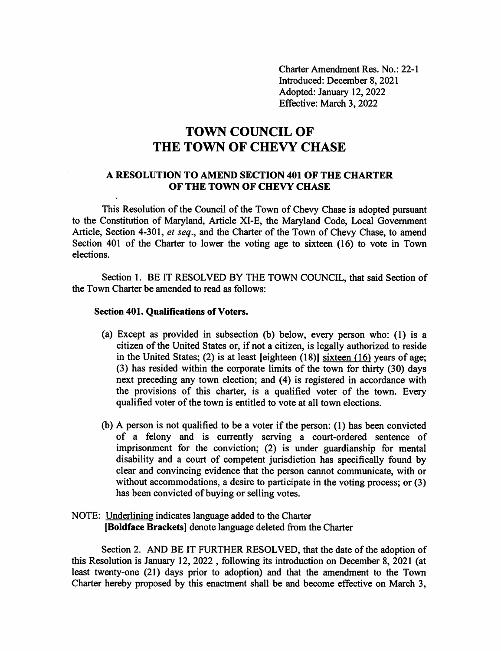Charter Amendment Res. No.: 22-1 Introduced: December 8, 2021 Adopted: January 12, 2022 Effective: March 3, 2022

## TOWN COUNCIL OF THE TOWN OF CHEVY CHASE

## A RESOLUTION TO AMEND SECTION 401 OF THE CHARTER OF THE TOWN OF CHEVY CHASE

This Resolution of the Council of the Town of Chevy Chase is adopted pursuant to the Constitution of Maryland, Article XI-E, the Maryland Code, Local Government Article, Section 4-301, et seq., and the Charter of the Town of Chevy Chase, to amend Section 401 of the Charter to lower the voting age to sixteen (16) to vote in Town elections.

Section 1. BE IT RESOLVED BY THE TOWN COUNCIL, that said Section of the Town Charter be amended to read as follows:

## Section 401. Qualifications of Voters.

- (a) Except as provided in subsection (b) below, every person who: (1) is a citizen of the United States or, if not a citizen, is legally authorized to reside in the United States; (2) is at least [eighteen  $(18)$ ] sixteen  $(16)$  years of age; (3) has resided within the corporate limits of the town for thirty (30) days next preceding any town election; and (4) is registered in accordance with the provisions of this charter, is a qualified voter of the town. Every qualified voter of the town is entitled to vote at all town elections.
- (b) A person is not qualified to be a voter if the person: (1) has been convicted of a felony and is currently serving a court-ordered sentence of imprisonment for the conviction; (2) is under guardianship for mental disability and a court of competent jurisdiction has specifically found by clear and convincing evidence that the person cannot communicate, with or without accommodations, a desire to participate in the voting process; or (3) has been convicted of buying or selling votes.

## NOTE: Underlining indicates language added to the Charter [Boldface Brackets] denote language deleted from the Charter

Section 2. AND BE IT FURTHER RESOLVED, that the date of the adoption of this Resolution is January 12, 2022 , following its introduction on December 8, 2021 (at least twenty-one (21) days prior to adoption) and that the amendment to the Town Charter hereby proposed by this enactment shall be and become effective on March 3,